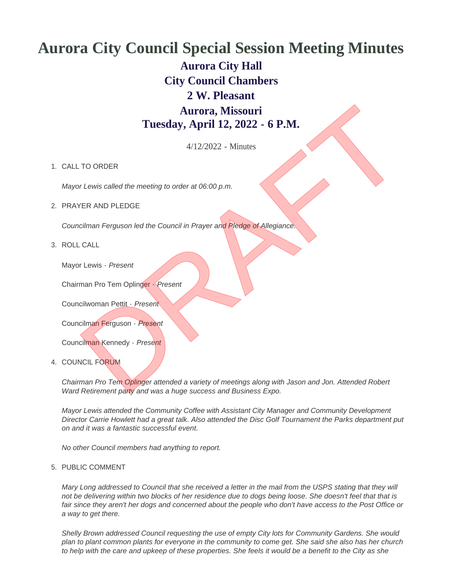## **Aurora City Council Special Session Meeting Minutes Aurora City Hall City Council Chambers 2 W. Pleasant Aurora, Missouri Tuesday, April 12, 2022 - 6 P.M. Aurora, Missouri**<br>
Tuesday, April 12, 2022 - 6 **P.M.**<br>
4/12/2022 - Minutes<br>
TO ORDER<br>
The Lewis called the meeting to order at 06:00 p.m.<br>
YER AND PLEDGE<br>
Colliman Ferguson led the Council in Prayer and Pledge of Allegian

4/12/2022 - Minutes

## 1. CALL TO ORDER

*Mayor Lewis called the meeting to order at 06:00 p.m.*

2. PRAYER AND PLEDGE

*Councilman Ferguson led the Council in Prayer and Pledge of Allegiance.*

ROLL CALL 3.

Mayor Lewis - *Present*

Chairman Pro Tem Oplinger - *Present*

Councilwoman Pettit - *Present*

Councilman Ferguson - *Present*

Councilman Kennedy - *Present*

4. COUNCIL FORUM

*Chairman Pro Tem Oplinger attended a variety of meetings along with Jason and Jon. Attended Robert Ward Retirement party and was a huge success and Business Expo.*

*Mayor Lewis attended the Community Coffee with Assistant City Manager and Community Development Director Carrie Howlett had a great talk. Also attended the Disc Golf Tournament the Parks department put on and it was a fantastic successful event.*

*No other Council members had anything to report.*

## 5. PUBLIC COMMENT

*Mary Long addressed to Council that she received a letter in the mail from the USPS stating that they will not be delivering within two blocks of her residence due to dogs being loose. She doesn't feel that that is fair since they aren't her dogs and concerned about the people who don't have access to the Post Office or a way to get there.*

*Shelly Brown addressed Council requesting the use of empty City lots for Community Gardens. She would plan to plant common plants for everyone in the community to come get. She said she also has her church to help with the care and upkeep of these properties. She feels it would be a benefit to the City as she*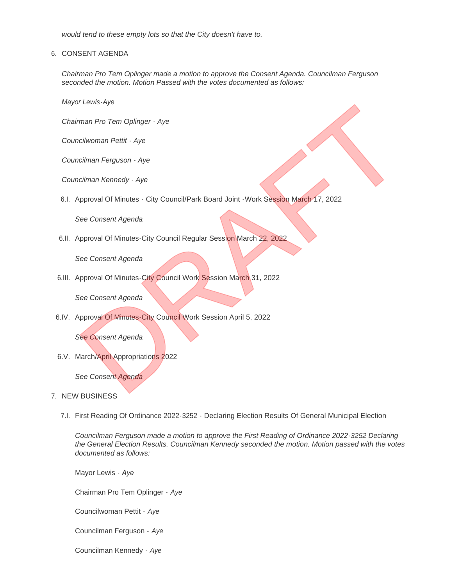*would tend to these empty lots so that the City doesn't have to.*

6. CONSENT AGENDA

*Chairman Pro Tem Oplinger made a motion to approve the Consent Agenda. Councilman Ferguson seconded the motion. Motion Passed with the votes documented as follows:*

*Mayor Lewis-Aye*

*Chairman Pro Tem Oplinger - Aye*

*Councilwoman Pettit - Aye*

*Councilman Ferguson - Aye*

*Councilman Kennedy - Aye*

6.I. Approval Of Minutes - City Council/Park Board Joint - Work Session March 17, 2022 r Lewis-Aye<br>
man Pro Term Oplinger - Aye<br>
Icilman Kennody - Aye<br>
Icilman Kennody - Aye<br>
Icilman Kennody - Aye<br>
Icilman Kennody - Aye<br>
Icilman Kennody - Aye<br>
See Consent Agenda<br>
Approval Of Minutes-City Council Negular Sess

*See Consent Agenda*

6.II. Approval Of Minutes-City Council Regular Session March 22, 2022

*See Consent Agenda*

6.III. Approval Of Minutes-City Council Work Session March 31, 2022

*See Consent Agenda*

6.IV. Approval Of Minutes-City Council Work Session April 5, 2022

*See Consent Agenda*

6.V. March/April Appropriations 2022

*See Consent Agenda*

- 7. NEW BUSINESS
	- First Reading Of Ordinance 2022-3252 Declaring Election Results Of General Municipal Election 7.I.

*Councilman Ferguson made a motion to approve the First Reading of Ordinance 2022-3252 Declaring the General Election Results. Councilman Kennedy seconded the motion. Motion passed with the votes documented as follows:*

Mayor Lewis - *Aye*

Chairman Pro Tem Oplinger - *Aye*

Councilwoman Pettit - *Aye*

Councilman Ferguson - *Aye*

Councilman Kennedy - *Aye*